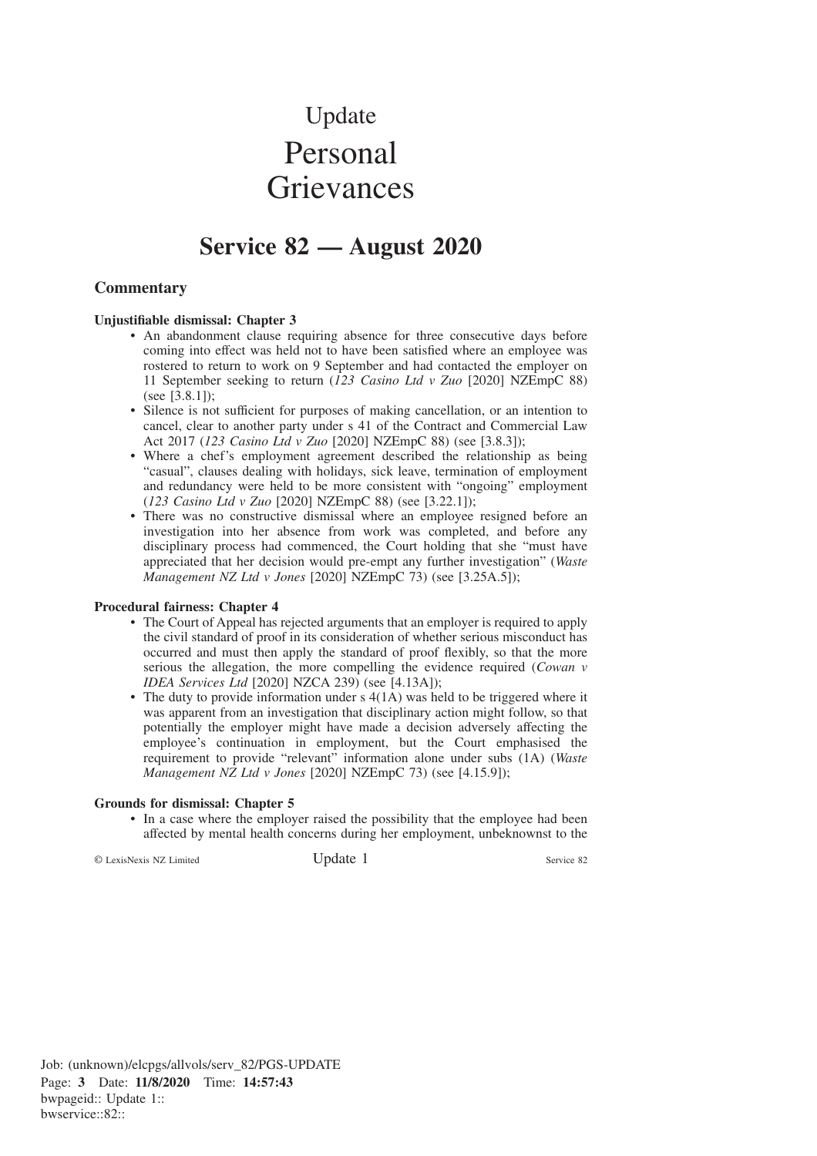# Update Personal **Grievances**

# **Service 82 — August 2020**

## **Commentary**

#### **Unjustifiable dismissal: Chapter 3**

- An abandonment clause requiring absence for three consecutive days before coming into effect was held not to have been satisfied where an employee was rostered to return to work on 9 September and had contacted the employer on 11 September seeking to return (*123 Casino Ltd v Zuo* [2020] NZEmpC 88) (see [3.8.1]);
- Silence is not sufficient for purposes of making cancellation, or an intention to cancel, clear to another party under s 41 of the Contract and Commercial Law Act 2017 (*123 Casino Ltd v Zuo* [2020] NZEmpC 88) (see [3.8.3]);
- Where a chef's employment agreement described the relationship as being "casual", clauses dealing with holidays, sick leave, termination of employment and redundancy were held to be more consistent with "ongoing" employment (*123 Casino Ltd v Zuo* [2020] NZEmpC 88) (see [3.22.1]);
- There was no constructive dismissal where an employee resigned before an investigation into her absence from work was completed, and before any disciplinary process had commenced, the Court holding that she "must have appreciated that her decision would pre-empt any further investigation" (*Waste Management NZ Ltd v Jones* [2020] NZEmpC 73) (see [3.25A.5]);

#### **Procedural fairness: Chapter 4**

- The Court of Appeal has rejected arguments that an employer is required to apply the civil standard of proof in its consideration of whether serious misconduct has occurred and must then apply the standard of proof flexibly, so that the more serious the allegation, the more compelling the evidence required (*Cowan v IDEA Services Ltd* [2020] NZCA 239) (see [4.13A]);
- The duty to provide information under s 4(1A) was held to be triggered where it was apparent from an investigation that disciplinary action might follow, so that potentially the employer might have made a decision adversely affecting the employee's continuation in employment, but the Court emphasised the requirement to provide "relevant" information alone under subs (1A) (*Waste Management NZ Ltd v Jones* [2020] NZEmpC 73) (see [4.15.9]);

#### **Grounds for dismissal: Chapter 5**

• In a case where the employer raised the possibility that the employee had been affected by mental health concerns during her employment, unbeknownst to the